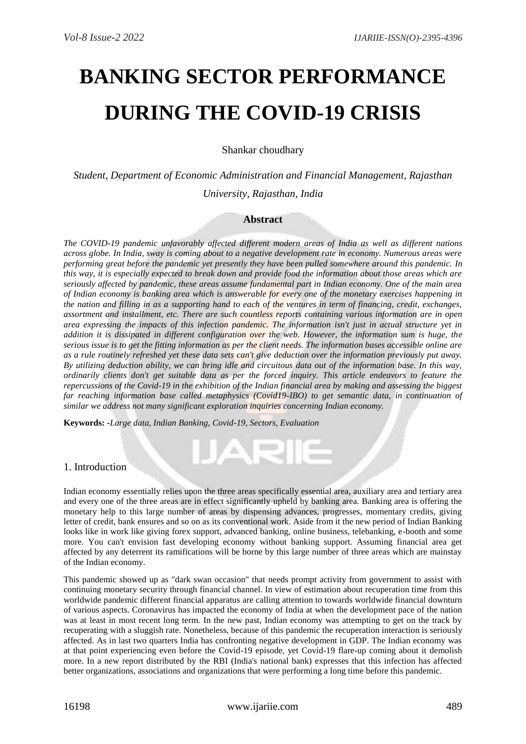# **BANKING SECTOR PERFORMANCE DURING THE COVID-19 CRISIS**

Shankar choudhary

*Student, Department of Economic Administration and Financial Management, Rajasthan University, Rajasthan, India* 

## **Abstract**

*The COVID-19 pandemic unfavorably affected different modern areas of India as well as different nations across globe. In India, sway is coming about to a negative development rate in economy. Numerous areas were performing great before the pandemic yet presently they have been pulled somewhere around this pandemic. In this way, it is especially expected to break down and provide food the information about those areas which are seriously affected by pandemic, these areas assume fundamental part in Indian economy. One of the main area of Indian economy is banking area which is answerable for every one of the monetary exercises happening in the nation and filling in as a supporting hand to each of the ventures in term of financing, credit, exchanges, assortment and installment, etc. There are such countless reports containing various information are in open area expressing the impacts of this infection pandemic. The information isn't just in actual structure yet in addition it is dissipated in different configuration over the web. However, the information sum is huge, the serious issue is to get the fitting information as per the client needs. The information bases accessible online are as a rule routinely refreshed yet these data sets can't give deduction over the information previously put away. By utilizing deduction ability, we can bring idle and circuitous data out of the information base. In this way, ordinarily clients don't get suitable data as per the forced inquiry. This article endeavors to feature the repercussions of the Covid-19 in the exhibition of the Indian financial area by making and assessing the biggest far reaching information base called metaphysics (Covid19-IBO) to get semantic data, in continuation of similar we address not many significant exploration inquiries concerning Indian economy.*

**Keywords: -***Large data, Indian Banking, Covid-19, Sectors, Evaluation*

## 1. Introduction

Indian economy essentially relies upon the three areas specifically essential area, auxiliary area and tertiary area and every one of the three areas are in effect significantly upheld by banking area. Banking area is offering the monetary help to this large number of areas by dispensing advances, progresses, momentary credits, giving letter of credit, bank ensures and so on as its conventional work. Aside from it the new period of Indian Banking looks like in work like giving forex support, advanced banking, online business, telebanking, e-booth and some more. You can't envision fast developing economy without banking support. Assuming financial area get affected by any deterrent its ramifications will be borne by this large number of three areas which are mainstay of the Indian economy.

**AR** 

This pandemic showed up as "dark swan occasion" that needs prompt activity from government to assist with continuing monetary security through financial channel. In view of estimation about recuperation time from this worldwide pandemic different financial apparatus are calling attention to towards worldwide financial downturn of various aspects. Coronavirus has impacted the economy of India at when the development pace of the nation was at least in most recent long term. In the new past, Indian economy was attempting to get on the track by recuperating with a sluggish rate. Nonetheless, because of this pandemic the recuperation interaction is seriously affected. As in last two quarters India has confronting negative development in GDP. The Indian economy was at that point experiencing even before the Covid-19 episode, yet Covid-19 flare-up coming about it demolish more. In a new report distributed by the RBI (India's national bank) expresses that this infection has affected better organizations, associations and organizations that were performing a long time before this pandemic.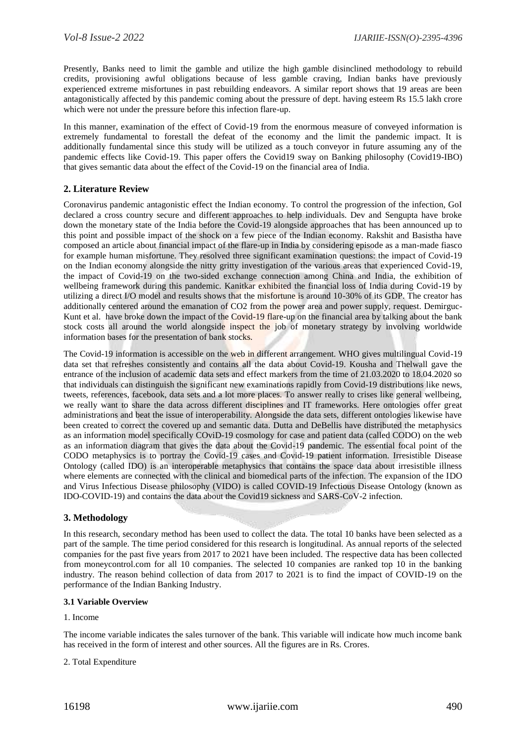Presently, Banks need to limit the gamble and utilize the high gamble disinclined methodology to rebuild credits, provisioning awful obligations because of less gamble craving, Indian banks have previously experienced extreme misfortunes in past rebuilding endeavors. A similar report shows that 19 areas are been antagonistically affected by this pandemic coming about the pressure of dept. having esteem Rs 15.5 lakh crore which were not under the pressure before this infection flare-up.

In this manner, examination of the effect of Covid-19 from the enormous measure of conveyed information is extremely fundamental to forestall the defeat of the economy and the limit the pandemic impact. It is additionally fundamental since this study will be utilized as a touch conveyor in future assuming any of the pandemic effects like Covid-19. This paper offers the Covid19 sway on Banking philosophy (Covid19-IBO) that gives semantic data about the effect of the Covid-19 on the financial area of India.

## **2. Literature Review**

Coronavirus pandemic antagonistic effect the Indian economy. To control the progression of the infection, GoI declared a cross country secure and different approaches to help individuals. Dev and Sengupta have broke down the monetary state of the India before the Covid-19 alongside approaches that has been announced up to this point and possible impact of the shock on a few piece of the Indian economy. Rakshit and Basistha have composed an article about financial impact of the flare-up in India by considering episode as a man-made fiasco for example human misfortune. They resolved three significant examination questions: the impact of Covid-19 on the Indian economy alongside the nitty gritty investigation of the various areas that experienced Covid-19, the impact of Covid-19 on the two-sided exchange connection among China and India, the exhibition of wellbeing framework during this pandemic. Kanitkar exhibited the financial loss of India during Covid-19 by utilizing a direct I/O model and results shows that the misfortune is around 10-30% of its GDP. The creator has additionally centered around the emanation of CO2 from the power area and power supply, request. Demirguc-Kunt et al. have broke down the impact of the Covid-19 flare-up on the financial area by talking about the bank stock costs all around the world alongside inspect the job of monetary strategy by involving worldwide information bases for the presentation of bank stocks.

The Covid-19 information is accessible on the web in different arrangement. WHO gives multilingual Covid-19 data set that refreshes consistently and contains all the data about Covid-19. Kousha and Thelwall gave the entrance of the inclusion of academic data sets and effect markers from the time of 21.03.2020 to 18.04.2020 so that individuals can distinguish the significant new examinations rapidly from Covid-19 distributions like news, tweets, references, facebook, data sets and a lot more places. To answer really to crises like general wellbeing, we really want to share the data across different disciplines and IT frameworks. Here ontologies offer great administrations and beat the issue of interoperability. Alongside the data sets, different ontologies likewise have been created to correct the covered up and semantic data. Dutta and DeBellis have distributed the metaphysics as an information model specifically COviD-19 cosmology for case and patient data (called CODO) on the web as an information diagram that gives the data about the Covid-19 pandemic. The essential focal point of the CODO metaphysics is to portray the Covid-19 cases and Covid-19 patient information. Irresistible Disease Ontology (called IDO) is an interoperable metaphysics that contains the space data about irresistible illness where elements are connected with the clinical and biomedical parts of the infection. The expansion of the IDO and Virus Infectious Disease philosophy (VIDO) is called COVID-19 Infectious Disease Ontology (known as IDO-COVID-19) and contains the data about the Covid19 sickness and SARS-CoV-2 infection.

## **3. Methodology**

In this research, secondary method has been used to collect the data. The total 10 banks have been selected as a part of the sample. The time period considered for this research is longitudinal. As annual reports of the selected companies for the past five years from 2017 to 2021 have been included. The respective data has been collected from moneycontrol.com for all 10 companies. The selected 10 companies are ranked top 10 in the banking industry. The reason behind collection of data from 2017 to 2021 is to find the impact of COVID-19 on the performance of the Indian Banking Industry.

#### **3.1 Variable Overview**

#### 1. Income

The income variable indicates the sales turnover of the bank. This variable will indicate how much income bank has received in the form of interest and other sources. All the figures are in Rs. Crores.

#### 2. Total Expenditure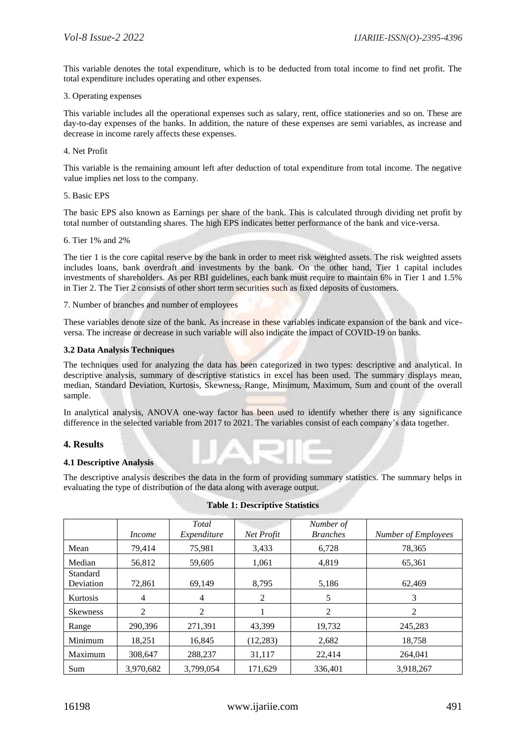This variable denotes the total expenditure, which is to be deducted from total income to find net profit. The total expenditure includes operating and other expenses.

#### 3. Operating expenses

This variable includes all the operational expenses such as salary, rent, office stationeries and so on. These are day-to-day expenses of the banks. In addition, the nature of these expenses are semi variables, as increase and decrease in income rarely affects these expenses.

## 4. Net Profit

This variable is the remaining amount left after deduction of total expenditure from total income. The negative value implies net loss to the company.

#### 5. Basic EPS

The basic EPS also known as Earnings per share of the bank. This is calculated through dividing net profit by total number of outstanding shares. The high EPS indicates better performance of the bank and vice-versa.

6. Tier 1% and 2%

The tier 1 is the core capital reserve by the bank in order to meet risk weighted assets. The risk weighted assets includes loans, bank overdraft and investments by the bank. On the other hand, Tier 1 capital includes investments of shareholders. As per RBI guidelines, each bank must require to maintain 6% in Tier 1 and 1.5% in Tier 2. The Tier 2 consists of other short term securities such as fixed deposits of customers.

7. Number of branches and number of employees

These variables denote size of the bank. As increase in these variables indicate expansion of the bank and viceversa. The increase or decrease in such variable will also indicate the impact of COVID-19 on banks.

## **3.2 Data Analysis Techniques**

The techniques used for analyzing the data has been categorized in two types: descriptive and analytical. In descriptive analysis, summary of descriptive statistics in excel has been used. The summary displays mean, median, Standard Deviation, Kurtosis, Skewness, Range, Minimum, Maximum, Sum and count of the overall sample.

In analytical analysis, ANOVA one-way factor has been used to identify whether there is any significance difference in the selected variable from 2017 to 2021. The variables consist of each company's data together.

## **4. Results**

#### **4.1 Descriptive Analysis**

The descriptive analysis describes the data in the form of providing summary statistics. The summary helps in evaluating the type of distribution of the data along with average output.

|                       | Income    | Total<br>Expenditure | Net Profit | Number of<br><b>Branches</b> | <b>Number of Employees</b> |
|-----------------------|-----------|----------------------|------------|------------------------------|----------------------------|
| Mean                  | 79,414    | 75,981               | 3,433      | 6,728                        | 78,365                     |
| Median                | 56,812    | 59,605               | 1,061      | 4,819                        | 65,361                     |
| Standard<br>Deviation | 72.861    | 69.149               | 8,795      | 5,186                        | 62,469                     |
| <b>Kurtosis</b>       | 4         | 4                    | 2          | 5                            | 3                          |
| <b>Skewness</b>       | 2         | 2                    |            | 2                            | 2                          |
| Range                 | 290,396   | 271,391              | 43.399     | 19,732                       | 245,283                    |
| Minimum               | 18,251    | 16,845               | (12, 283)  | 2,682                        | 18,758                     |
| Maximum               | 308,647   | 288,237              | 31,117     | 22,414                       | 264.041                    |
| Sum                   | 3,970,682 | 3,799,054            | 171,629    | 336,401                      | 3,918,267                  |

#### **Table 1: Descriptive Statistics**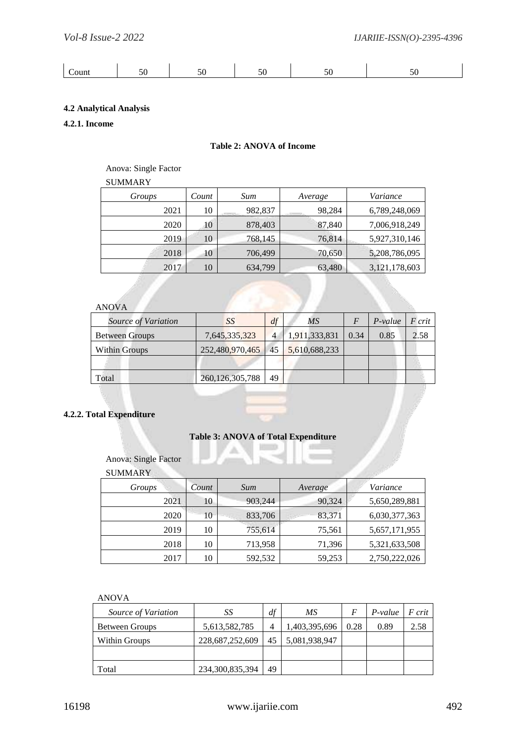|--|

## **4.2 Analytical Analysis**

## **4.2.1. Income**

### **Table 2: ANOVA of Income**

## Anova: Single Factor

## SUMMARY

| Groups | Count | Sum     | Average | Variance      |
|--------|-------|---------|---------|---------------|
| 2021   | 10    | 982,837 | 98,284  | 6,789,248,069 |
| 2020   | 10    | 878,403 | 87,840  | 7,006,918,249 |
| 2019   | 10    | 768,145 | 76,814  | 5,927,310,146 |
| 2018   | 10    | 706,499 | 70,650  | 5,208,786,095 |
| 2017   | 10    | 634,799 | 63,480  | 3,121,178,603 |

## ANOVA

| Source of Variation   | SS                 | df | ΜS            |      | $P-value$ | F crit |
|-----------------------|--------------------|----|---------------|------|-----------|--------|
| <b>Between Groups</b> | 7,645,335,323      | 4  | 1,911,333,831 | 0.34 | 0.85      | 2.58   |
| <b>Within Groups</b>  | 252,480,970,465    | 45 | 5,610,688,233 |      |           |        |
|                       |                    |    |               |      |           |        |
| Total                 | 260, 126, 305, 788 | 49 |               |      |           |        |

# **4.2.2. Total Expenditure**

#### **Table 3: ANOVA of Total Expenditure** ш

Anova: Single Factor

## SUMMARY

| Groups | Count | Sum     | Average | Variance      |
|--------|-------|---------|---------|---------------|
| 2021   | 10    | 903,244 | 90,324  | 5,650,289,881 |
| 2020   | 10    | 833,706 | 83,371  | 6,030,377,363 |
| 2019   | 10    | 755,614 | 75,561  | 5,657,171,955 |
| 2018   | 10    | 713,958 | 71,396  | 5,321,633,508 |
| 2017   | 10    | 592,532 | 59,253  | 2,750,222,026 |

| Source of Variation   | SS              | df | МS            |      | $P-value$ | F crit |
|-----------------------|-----------------|----|---------------|------|-----------|--------|
| <b>Between Groups</b> | 5,613,582,785   | 4  | 1,403,395,696 | 0.28 | 0.89      | 2.58   |
| Within Groups         | 228,687,252,609 | 45 | 5,081,938,947 |      |           |        |
|                       |                 |    |               |      |           |        |
| Total                 | 234,300,835,394 | 49 |               |      |           |        |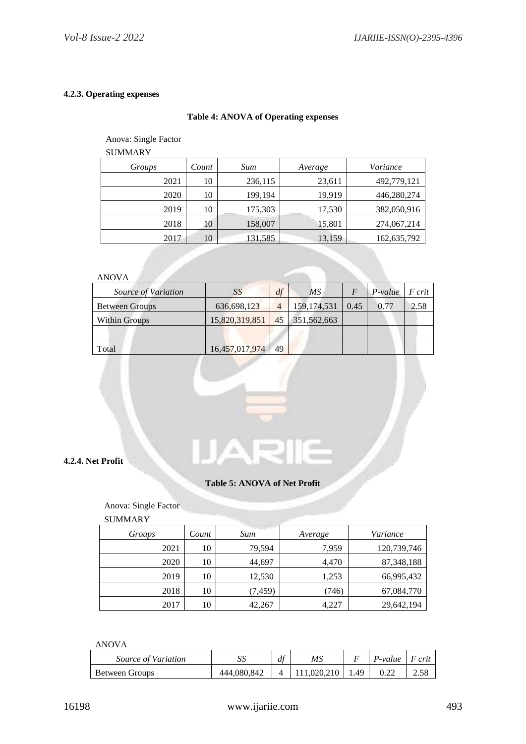## **4.2.3. Operating expenses**

## **Table 4: ANOVA of Operating expenses**

## Anova: Single Factor

SUMMARY

| Count | Sum     | Average | Variance    |
|-------|---------|---------|-------------|
| 10    | 236,115 | 23,611  | 492,779,121 |
| 10    | 199,194 | 19,919  | 446,280,274 |
| 10    | 175,303 | 17,530  | 382,050,916 |
| 10    | 158,007 | 15,801  | 274,067,214 |
| 10    | 131,585 | 13,159  | 162,635,792 |
|       |         |         |             |

# ANOVA

| Source of Variation   | SS             | df             | MS                 | $P-value$ | F crit |
|-----------------------|----------------|----------------|--------------------|-----------|--------|
| <b>Between Groups</b> | 636,698,123    | $\overline{4}$ | $159,174,531$ 0.45 | 0.77      | 2.58   |
| <b>Within Groups</b>  | 15,820,319,851 | 45             | 351,562,663        |           |        |
|                       |                |                |                    |           |        |
| Total                 | 16,457,017,974 | 49             |                    |           |        |

## **4.2.4. Net Profit**

#### **Table 5: ANOVA of Net Profit**

#### Anova: Single Factor

## **SUMMARY**

| <b>SUMMANI</b> |       |          |         |              |
|----------------|-------|----------|---------|--------------|
| Groups         | Count | Sum      | Average | Variance     |
| 2021           | 10    | 79,594   | 7,959   | 120,739,746  |
| 2020           | 10    | 44,697   | 4,470   | 87, 348, 188 |
| 2019           | 10    | 12,530   | 1,253   | 66,995,432   |
| 2018           | 10    | (7, 459) | (746)   | 67,084,770   |
| 2017           | 10    | 42,267   | 4,227   | 29,642,194   |

| Source of Variation   | ມມ          | df | MS |     | P-value | crii |
|-----------------------|-------------|----|----|-----|---------|------|
| <b>Between Groups</b> | 444,080,842 |    |    | .49 | U.ZZ    | 2.JC |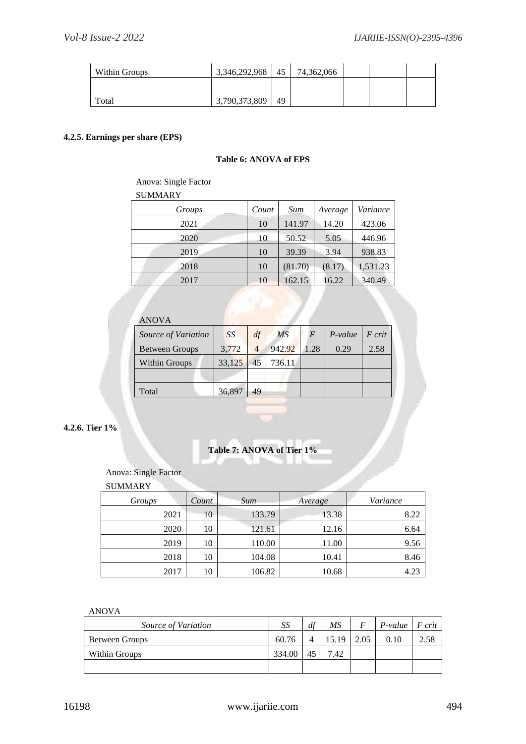| Within Groups | 3,346,292,968 | 45 | 74,362,066 |  |  |
|---------------|---------------|----|------------|--|--|
|               |               |    |            |  |  |
| Total         | 3,790,373,809 | 49 |            |  |  |

## **4.2.5. Earnings per share (EPS)**

## **Table 6: ANOVA of EPS**

## Anova: Single Factor

SUMMARY

| .      |       |         |         |          |
|--------|-------|---------|---------|----------|
| Groups | Count | Sum     | Average | Variance |
| 2021   | 10    | 141.97  | 14.20   | 423.06   |
| 2020   | 10    | 50.52   | 5.05    | 446.96   |
| 2019   | 10    | 39.39   | 3.94    | 938.83   |
| 2018   | 10    | (81.70) | (8.17)  | 1,531.23 |
| 2017   | 10    | 162.15  | 16.22   | 340.49   |
|        |       |         |         |          |

# ANOVA *Source of Variation SS df MS F P-value F crit* Between Groups 3,772 4 942.92 1.28 0.29 2.58 Within Groups 33,125 45 736.11 Total 36,897 49

**4.2.6. Tier 1%**

# **Table 7: ANOVA of Tier 1%**

## Anova: Single Factor

SUMMARY

| Groups | Count | <b>Sum</b> | Average | Variance |
|--------|-------|------------|---------|----------|
| 2021   | 10    | 133.79     | 13.38   | 8.22     |
| 2020   | 10    | 121.61     | 12.16   | 6.64     |
| 2019   | 10    | 110.00     | 11.00   | 9.56     |
| 2018   | 10    | 104.08     | 10.41   | 8.46     |
| 2017   | 10    | 106.82     | 10.68   | 4.23     |

| Source of Variation   | SS     | df | MS    | F    | $P-value$ | $\mid$ F crit |
|-----------------------|--------|----|-------|------|-----------|---------------|
| <b>Between Groups</b> | 60.76  |    | 15.19 | 2.05 | 0.10      |               |
| Within Groups         | 334.00 |    | 7.42  |      |           |               |
|                       |        |    |       |      |           |               |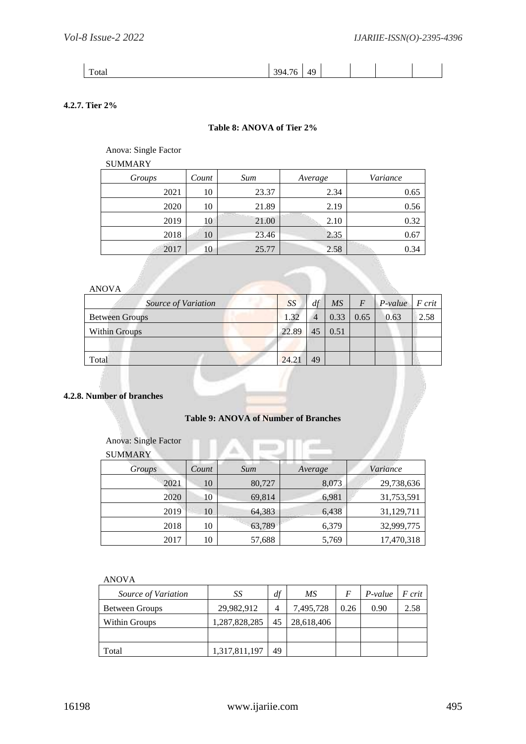Total 394.76 49

## **4.2.7. Tier 2%**

## **Table 8: ANOVA of Tier 2%**

Anova: Single Factor

SUMMARY

| Groups | Count | Sum   | Average | Variance |
|--------|-------|-------|---------|----------|
| 2021   | 10    | 23.37 | 2.34    | 0.65     |
| 2020   | 10    | 21.89 | 2.19    | 0.56     |
| 2019   | 10    | 21.00 | 2.10    | 0.32     |
| 2018   | 10    | 23.46 | 2.35    | 0.67     |
| 2017   | 10    | 25.77 | 2.58    | 0.34     |
|        |       |       |         |          |

## ANOVA

| Source of Variation   | SS    | df | $\overline{MS}$ | $\overline{F}$ | $\varepsilon$ P-value F crit |      |
|-----------------------|-------|----|-----------------|----------------|------------------------------|------|
| <b>Between Groups</b> | 1.32  | 4  | 0.33            | 0.65           | 0.63                         | 2.58 |
| Within Groups         | 22.89 | 45 | 0.51            |                |                              |      |
|                       |       |    |                 |                |                              |      |
| Total                 | 24.21 | 49 |                 |                |                              |      |

## **4.2.8. Number of branches**

## **Table 9: ANOVA of Number of Branches**

#### Anova: Single Factor

| <b>SUMMARY</b> |       |        |         |            |
|----------------|-------|--------|---------|------------|
| Groups         | Count | Sum    | Average | Variance   |
| 2021           | 10    | 80,727 | 8,073   | 29,738,636 |
| 2020           | 10    | 69,814 | 6,981   | 31,753,591 |
| 2019           | 10    | 64,383 | 6,438   | 31,129,711 |
| 2018           | 10    | 63,789 | 6,379   | 32,999,775 |
| 2017           | 10    | 57,688 | 5,769   | 17,470,318 |

| Source of Variation | SS            | df | MS         |      | $P-value$ | F crit |
|---------------------|---------------|----|------------|------|-----------|--------|
| Between Groups      | 29,982,912    | 4  | 7,495,728  | 0.26 | 0.90      | 2.58   |
| Within Groups       | 1,287,828,285 | 45 | 28,618,406 |      |           |        |
|                     |               |    |            |      |           |        |
| Total               | 1,317,811,197 | 49 |            |      |           |        |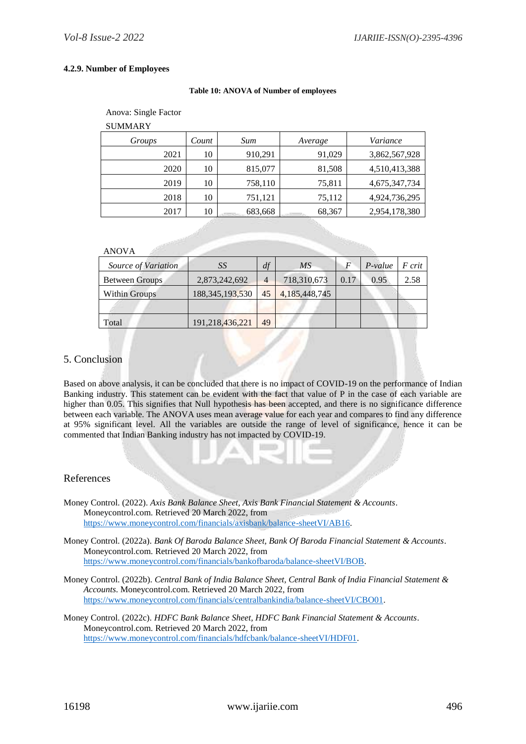#### **4.2.9. Number of Employees**

#### **Table 10: ANOVA of Number of employees**

| Anova: Single Factor |
|----------------------|
|----------------------|

| Groups | Count | Sum     | Average | Variance      |
|--------|-------|---------|---------|---------------|
| 2021   | 10    | 910,291 | 91,029  | 3,862,567,928 |
| 2020   | 10    | 815,077 | 81,508  | 4,510,413,388 |
| 2019   | 10    | 758,110 | 75,811  | 4,675,347,734 |
| 2018   | 10    | 751,121 | 75,112  | 4,924,736,295 |
| 2017   | 10    | 683,668 | 68,367  | 2,954,178,380 |

|  | ۰, |  |
|--|----|--|

| Source of Variation   | SS                 | df             | MS            |      | $P-value$ | F crit |
|-----------------------|--------------------|----------------|---------------|------|-----------|--------|
| <b>Between Groups</b> | 2,873,242,692      | $\overline{4}$ | 718,310,673   | 0.17 | 0.95      | 2.58   |
| Within Groups         | 188, 345, 193, 530 | 45             | 4,185,448,745 |      |           |        |
|                       |                    |                |               |      |           |        |
| Total                 | 191,218,436,221    | 49             |               |      |           |        |

## 5. Conclusion

Based on above analysis, it can be concluded that there is no impact of COVID-19 on the performance of Indian Banking industry. This statement can be evident with the fact that value of P in the case of each variable are higher than 0.05. This signifies that Null hypothesis has been accepted, and there is no significance difference between each variable. The ANOVA uses mean average value for each year and compares to find any difference at 95% significant level. All the variables are outside the range of level of significance, hence it can be commented that Indian Banking industry has not impacted by COVID-19.

## References

- Money Control. (2022). *Axis Bank Balance Sheet, Axis Bank Financial Statement & Accounts*. Moneycontrol.com. Retrieved 20 March 2022, from [https://www.moneycontrol.com/financials/axisbank/balance-sheetVI/AB16.](https://www.moneycontrol.com/financials/axisbank/balance-sheetVI/AB16)
- Money Control. (2022a). *Bank Of Baroda Balance Sheet, Bank Of Baroda Financial Statement & Accounts*. Moneycontrol.com. Retrieved 20 March 2022, from [https://www.moneycontrol.com/financials/bankofbaroda/balance-sheetVI/BOB.](https://www.moneycontrol.com/financials/bankofbaroda/balance-sheetVI/BOB)
- Money Control. (2022b). *Central Bank of India Balance Sheet, Central Bank of India Financial Statement & Accounts*. Moneycontrol.com. Retrieved 20 March 2022, from [https://www.moneycontrol.com/financials/centralbankindia/balance-sheetVI/CBO01.](https://www.moneycontrol.com/financials/centralbankindia/balance-sheetVI/CBO01)
- Money Control. (2022c). *HDFC Bank Balance Sheet, HDFC Bank Financial Statement & Accounts*. Moneycontrol.com. Retrieved 20 March 2022, from [https://www.moneycontrol.com/financials/hdfcbank/balance-sheetVI/HDF01.](https://www.moneycontrol.com/financials/hdfcbank/balance-sheetVI/HDF01)